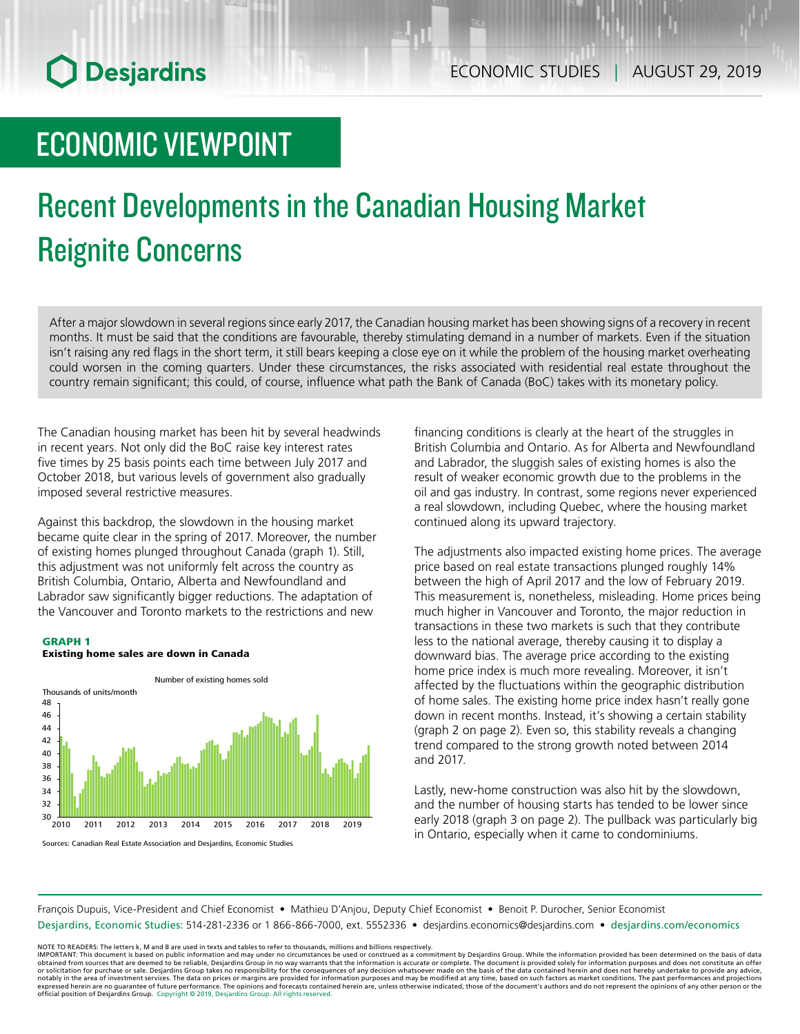## ECONOMIC VIEWPOINT

# Recent Developments in the Canadian Housing Market Reignite Concerns

After a major slowdown in several regions since early 2017, the Canadian housing market has been showing signs of a recovery in recent months. It must be said that the conditions are favourable, thereby stimulating demand in a number of markets. Even if the situation isn't raising any red flags in the short term, it still bears keeping a close eye on it while the problem of the housing market overheating could worsen in the coming quarters. Under these circumstances, the risks associated with residential real estate throughout the country remain significant; this could, of course, influence what path the Bank of Canada (BoC) takes with its monetary policy.

The Canadian housing market has been hit by several headwinds in recent years. Not only did the BoC raise key interest rates five times by 25 basis points each time between July 2017 and October 2018, but various levels of government also gradually imposed several restrictive measures.

Against this backdrop, the slowdown in the housing market became quite clear in the spring of 2017. Moreover, the number of existing homes plunged throughout Canada (graph 1). Still, this adjustment was not uniformly felt across the country as British Columbia, Ontario, Alberta and Newfoundland and Labrador saw significantly bigger reductions. The adaptation of the Vancouver and Toronto markets to the restrictions and new

## GRAPH 1





financing conditions is clearly at the heart of the struggles in British Columbia and Ontario. As for Alberta and Newfoundland and Labrador, the sluggish sales of existing homes is also the result of weaker economic growth due to the problems in the oil and gas industry. In contrast, some regions never experienced a real slowdown, including Quebec, where the housing market continued along its upward trajectory.

The adjustments also impacted existing home prices. The average price based on real estate transactions plunged roughly 14% between the high of April 2017 and the low of February 2019. This measurement is, nonetheless, misleading. Home prices being much higher in Vancouver and Toronto, the major reduction in transactions in these two markets is such that they contribute less to the national average, thereby causing it to display a downward bias. The average price according to the existing home price index is much more revealing. Moreover, it isn't affected by the fluctuations within the geographic distribution of home sales. The existing home price index hasn't really gone down in recent months. Instead, it's showing a certain stability (graph 2 on page 2). Even so, this stability reveals a changing trend compared to the strong growth noted between 2014 and 2017.

Lastly, new-home construction was also hit by the slowdown, and the number of housing starts has tended to be lower since early 2018 (graph 3 on page 2). The pullback was particularly big in Ontario, especially when it came to condominiums.

François Dupuis, Vice-President and Chief Economist • Mathieu D'Anjou, Deputy Chief Economist • Benoit P. Durocher, Senior Economist Desjardins, Economic Studies: 514-281-2336 or 1 866-866-7000, ext. 5552336 • desjardins.economics@desjardins.com • [desjardins.com/economics](http://desjardins.com/economics)

NOTE TO READERS: The letters k, M and B are used in texts and tables to refer to thousands, millions and billions respectively.<br>IMPORTANT: This document is based on public information and may under no circumstances be used obtained from sources that are deemed to be reliable, Desjardins Group in no way warrants that the information is accurate or complete. The document is provided solely for information purposes and does not constitute an of expressed herein are no guarantee of future performance. The opinions and forecasts contained herein are, unless otherwise indicated, those of the document's authors and do not represent the opinions of any other person or official position of Desjardins Group. Copyright © 2019, Desjardins Group. All rights reserved.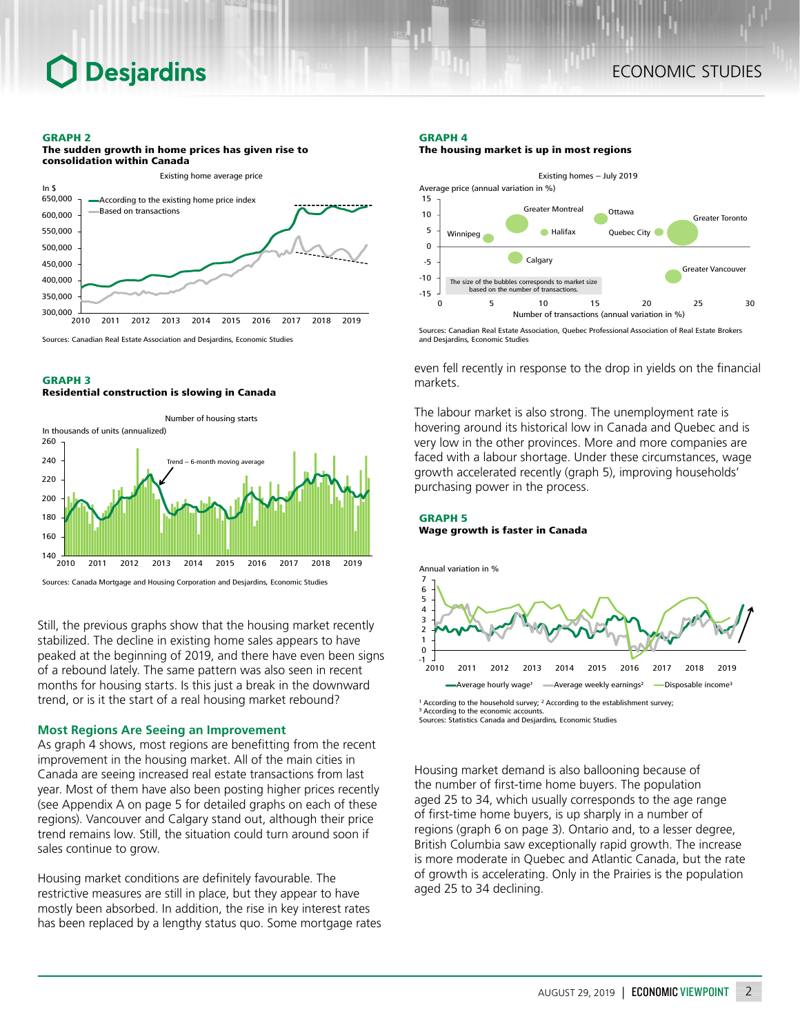### GRAPH 2

## The sudden growth in home prices has given rise to consolidation within Canada



Sources: Canadian Real Estate Association and Desjardins, Economic Studies

## GRAPH 3

#### Residential construction is slowing in Canada



Sources: Canada Mortgage and Housing Corporation and Desjardins, Economic Studies

Still, the previous graphs show that the housing market recently stabilized. The decline in existing home sales appears to have peaked at the beginning of 2019, and there have even been signs of a rebound lately. The same pattern was also seen in recent months for housing starts. Is this just a break in the downward trend, or is it the start of a real housing market rebound?

## **Most Regions Are Seeing an Improvement**

As graph 4 shows, most regions are benefitting from the recent improvement in the housing market. All of the main cities in Canada are seeing increased real estate transactions from last year. Most of them have also been posting higher prices recently (see Appendix A on page 5 for detailed graphs on each of these regions). Vancouver and Calgary stand out, although their price trend remains low. Still, the situation could turn around soon if sales continue to grow.

Housing market conditions are definitely favourable. The restrictive measures are still in place, but they appear to have mostly been absorbed. In addition, the rise in key interest rates has been replaced by a lengthy status quo. Some mortgage rates

### GRAPH 4





Sources: Canadian Real Estate Association, Quebec Professional Association of Real Estate Brokers and Desjardins, Economic Studies

even fell recently in response to the drop in yields on the financial markets.

The labour market is also strong. The unemployment rate is hovering around its historical low in Canada and Quebec and is very low in the other provinces. More and more companies are faced with a labour shortage. Under these circumstances, wage growth accelerated recently (graph 5), improving households' purchasing power in the process.

### GRAPH 5 Wage growth is faster in Canada



<sup>&</sup>lt;sup>1</sup> According to the household survey; <sup>2</sup> According to the establishment survey; <sup>3</sup> According to the economic accounts Sources: Statistics Canada and Desjardins, Economic Studies

Housing market demand is also ballooning because of the number of first-time home buyers. The population aged 25 to 34, which usually corresponds to the age range of first-time home buyers, is up sharply in a number of regions (graph 6 on page 3). Ontario and, to a lesser degree, British Columbia saw exceptionally rapid growth. The increase is more moderate in Quebec and Atlantic Canada, but the rate of growth is accelerating. Only in the Prairies is the population aged 25 to 34 declining.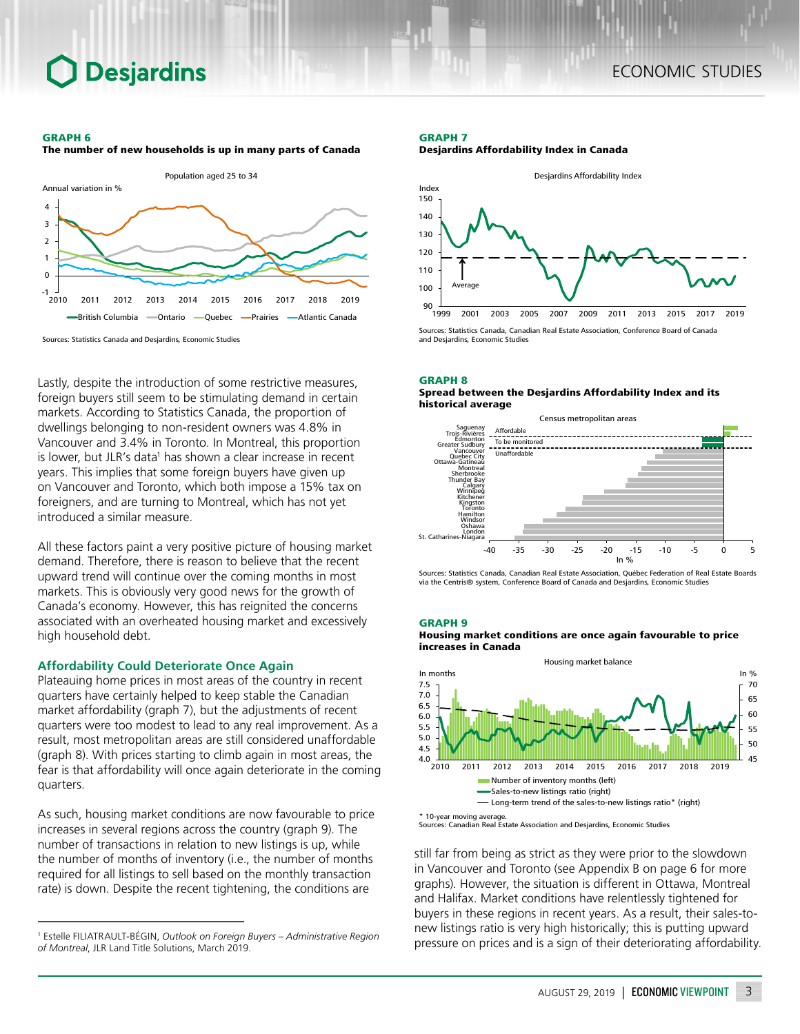## GRAPH 6

The number of new households is up in many parts of Canada

**Desjardins** 



Lastly, despite the introduction of some restrictive measures, foreign buyers still seem to be stimulating demand in certain markets. According to Statistics Canada, the proportion of dwellings belonging to non-resident owners was 4.8% in Vancouver and 3.4% in Toronto. In Montreal, this proportion

is lower, but JLR's data<sup>1</sup> has shown a clear increase in recent years. This implies that some foreign buyers have given up on Vancouver and Toronto, which both impose a 15% tax on foreigners, and are turning to Montreal, which has not yet introduced a similar measure.

All these factors paint a very positive picture of housing market demand. Therefore, there is reason to believe that the recent upward trend will continue over the coming months in most markets. This is obviously very good news for the growth of Canada's economy. However, this has reignited the concerns associated with an overheated housing market and excessively high household debt.

## **Affordability Could Deteriorate Once Again**

Plateauing home prices in most areas of the country in recent quarters have certainly helped to keep stable the Canadian market affordability (graph 7), but the adjustments of recent quarters were too modest to lead to any real improvement. As a result, most metropolitan areas are still considered unaffordable (graph 8). With prices starting to climb again in most areas, the fear is that affordability will once again deteriorate in the coming quarters.

As such, housing market conditions are now favourable to price increases in several regions across the country (graph 9). The number of transactions in relation to new listings is up, while the number of months of inventory (i.e., the number of months required for all listings to sell based on the monthly transaction rate) is down. Despite the recent tightening, the conditions are

### GRAPH 7 Desjardins Affordability Index in Canada



### GRAPH 8





Sources: Statistics Canada, Canadian Real Estate Association, Québec Federation of Real Estate Boards via the Centris® system, Conference Board of Canada and Desjardins, Economic Studies

#### GRAPH 9

Housing market conditions are once again favourable to price increases in Canada



\* 10-year moving average. Sources: Canadian Real Estate Association and Desjardins, Economic Studies

still far from being as strict as they were prior to the slowdown in Vancouver and Toronto (see Appendix B on page 6 for more graphs). However, the situation is different in Ottawa, Montreal and Halifax. Market conditions have relentlessly tightened for buyers in these regions in recent years. As a result, their sales-tonew listings ratio is very high historically; this is putting upward pressure on prices and is a sign of their deteriorating affordability.

<sup>1</sup> Estelle FILIATRAULT‑BÉGIN, *Outlook on Foreign Buyers – Administrative Region of Montreal*, JLR Land Title Solutions, March 2019.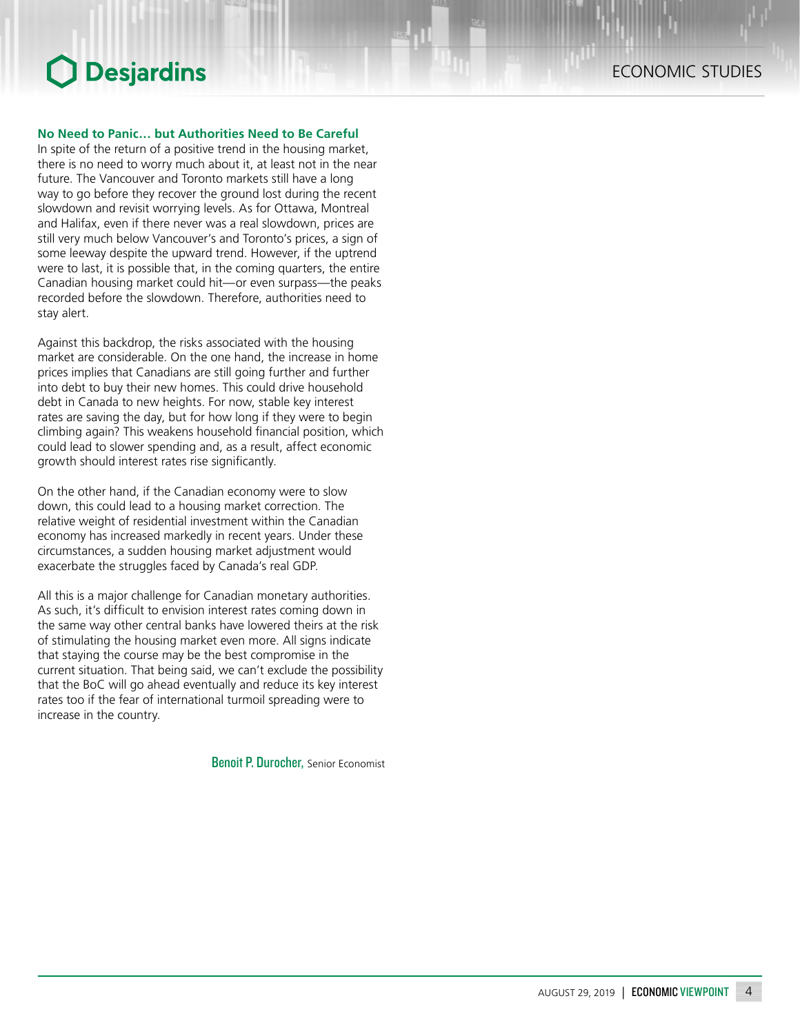## **No Need to Panic… but Authorities Need to Be Careful**

In spite of the return of a positive trend in the housing market, there is no need to worry much about it, at least not in the near future. The Vancouver and Toronto markets still have a long way to go before they recover the ground lost during the recent slowdown and revisit worrying levels. As for Ottawa, Montreal and Halifax, even if there never was a real slowdown, prices are still very much below Vancouver's and Toronto's prices, a sign of some leeway despite the upward trend. However, if the uptrend were to last, it is possible that, in the coming quarters, the entire Canadian housing market could hit—or even surpass—the peaks recorded before the slowdown. Therefore, authorities need to stay alert.

Against this backdrop, the risks associated with the housing market are considerable. On the one hand, the increase in home prices implies that Canadians are still going further and further into debt to buy their new homes. This could drive household debt in Canada to new heights. For now, stable key interest rates are saving the day, but for how long if they were to begin climbing again? This weakens household financial position, which could lead to slower spending and, as a result, affect economic growth should interest rates rise significantly.

On the other hand, if the Canadian economy were to slow down, this could lead to a housing market correction. The relative weight of residential investment within the Canadian economy has increased markedly in recent years. Under these circumstances, a sudden housing market adjustment would exacerbate the struggles faced by Canada's real GDP.

All this is a major challenge for Canadian monetary authorities. As such, it's difficult to envision interest rates coming down in the same way other central banks have lowered theirs at the risk of stimulating the housing market even more. All signs indicate that staying the course may be the best compromise in the current situation. That being said, we can't exclude the possibility that the BoC will go ahead eventually and reduce its key interest rates too if the fear of international turmoil spreading were to increase in the country.

Benoit P. Durocher, Senior Economist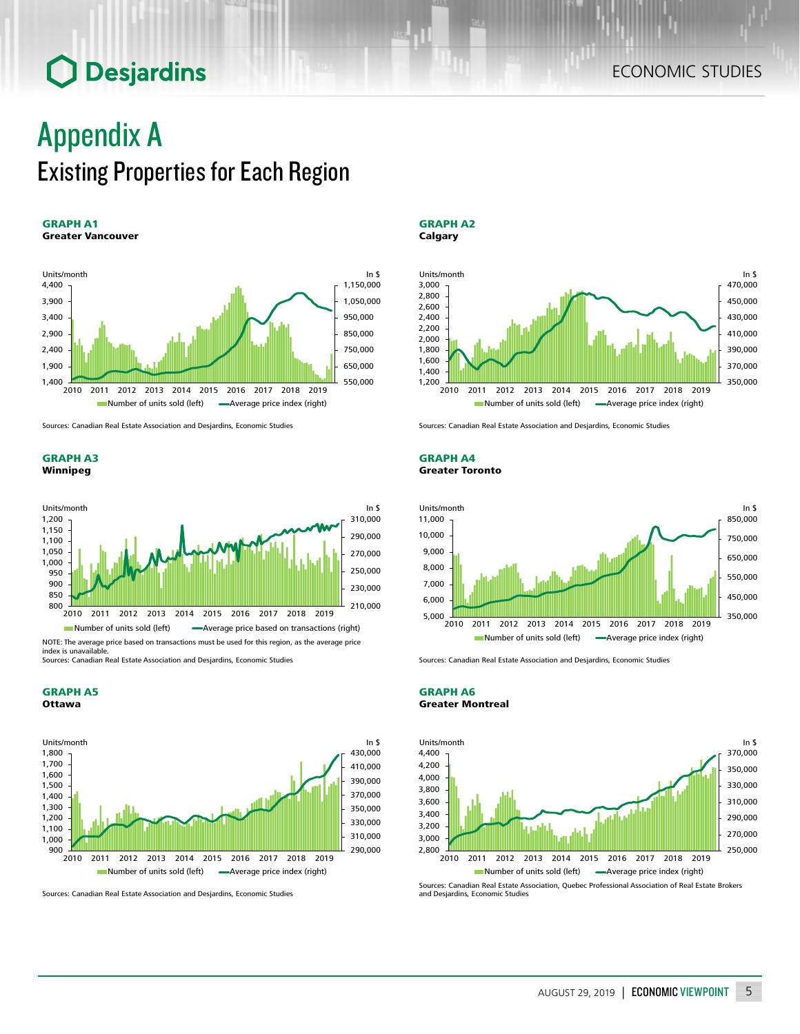## Appendix A Existing Properties for Each Region

### GRAPH A1 Greater Vancouver



Sources: Canadian Real Estate Association and Desjardins, Economic Studies

GRAPH A3 Winnipeg



index is unavailable. Sources: Canadian Real Estate Association and Desjardins, Economic Studies

GRAPH A5 Ottawa



Sources: Canadian Real Estate Association and Desjardins, Economic Studies





Sources: Canadian Real Estate Association and Desjardins, Economic Studies

### GRAPH A4 Greater Toronto



Sources: Canadian Real Estate Association and Desjardins, Economic Studies





Sources: Canadian Real Estate Association, Quebec Professional Association of Real Estate Brokers and Desjardins, Economic Studies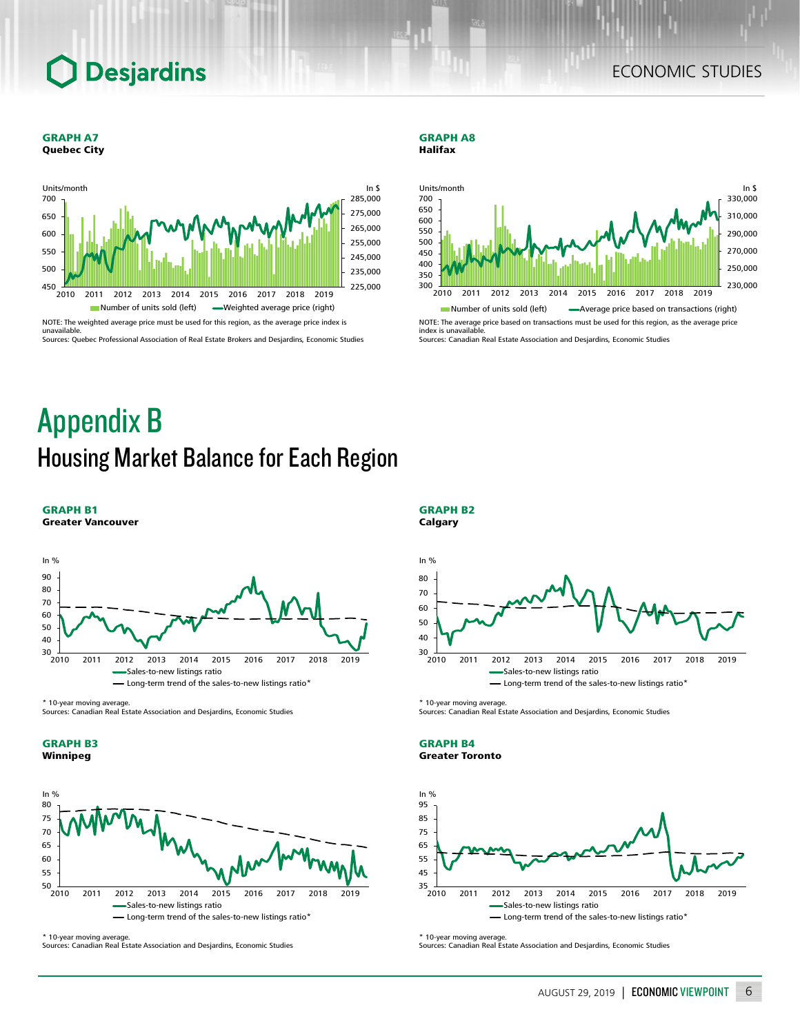## ECONOMIC STUDIES

#### GRAPH A7 Quebec City



#### GRAPH A8 Halifax





Sources: Canadian Real Estate Association and Desjardins, Economic Studies

## Appendix B Housing Market Balance for Each Region



\* 10-year moving average.

Sources: Canadian Real Estate Association and Desjardins, Economic Studies





\* 10-year moving average.

Sources: Canadian Real Estate Association and Desjardins, Economic Studies

## In  $\frac{0}{6}$  $\frac{1}{2010}$ 40 50 60 70 80 2010 2011 2012 2013 2014 2015 2016 2017 2018 2019 es-to-new listings ratio - Long-term trend of the sales-to-new listings ratio<sup>\*</sup>

\* 10-year moving average.

GRAPH B2 Calgary

Sources: Canadian Real Estate Association and Desjardins, Economic Studies





\* 10-year moving average.

Sources: Canadian Real Estate Association and Desjardins, Economic Studies